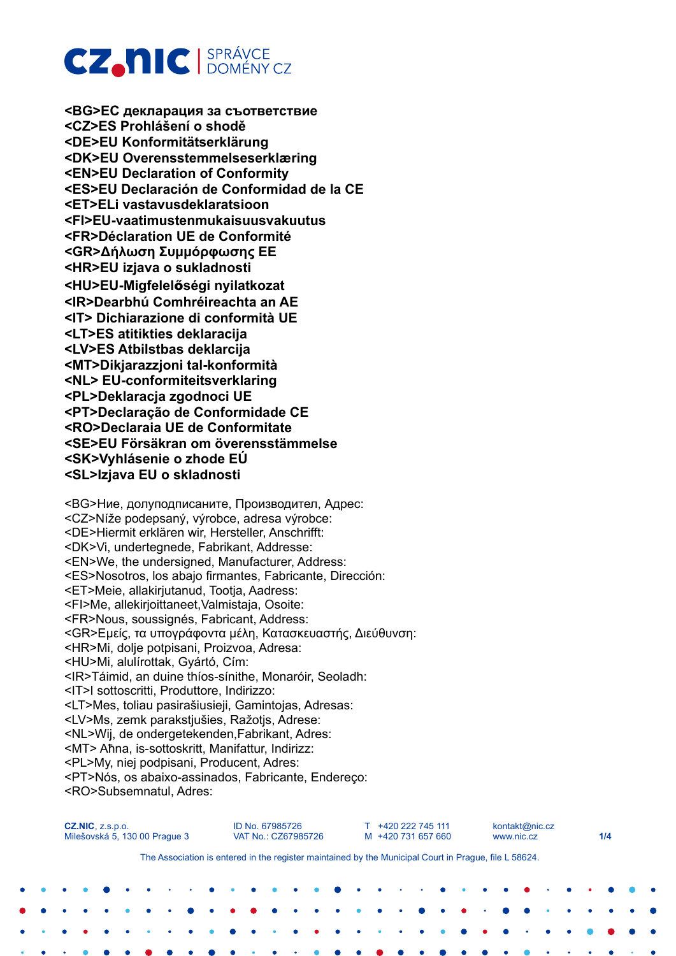# **CZ.NIC** SPRÁVCE

**<BG>ЕС декларация за съответствие <CZ>ES Prohlášení o shodě <DE>EU Konformitätserklärung <DK>EU Overensstemmelseserklæring <EN>EU Declaration of Conformity <ES>EU Declaración de Conformidad de la CE <ET>ELi vastavusdeklaratsioon <FI>EU-vaatimustenmukaisuusvakuutus <FR>Déclaration UE de Conformité <GR>Δήλωση Συμμόρφωσης EE <HR>EU izjava o sukladnosti <HU>EU-Migfelel**ő**ségi nyilatkozat <IR>Dearbhú Comhréireachta an AE <IT> Dichiarazione di conformità UE <LT>ES atitikties deklaracija <LV>ES Atbilstbas deklarcija <MT>Dikjarazzjoni tal-konformità <NL> EU-conformiteitsverklaring <PL>Deklaracja zgodnoci UE <PT>Declaração de Conformidade CE <RO>Declaraia UE de Conformitate <SE>EU Försäkran om överensstämmelse <SK>Vyhlásenie o zhode EÚ <SL>Izjava EU o skladnosti**

<BG>Ние, долуподписаните, Производител, Адрес: <CZ>Níže podepsaný, výrobce, adresa výrobce: <DE>Hiermit erklären wir, Hersteller, Anschrifft: <DK>Vi, undertegnede, Fabrikant, Addresse: <EN>We, the undersigned, Manufacturer, Address: <ES>Nosotros, los abajo firmantes, Fabricante, Dirección: <ET>Meie, allakirjutanud, Tootja, Aadress: <FI>Me, allekirjoittaneet,Valmistaja, Osoite: <FR>Nous, soussignés, Fabricant, Address: <GR>Εμείς, τα υπογράφοντα μέλη, Κατασκευαστής, Διεύθυνση: <HR>Mi, dolje potpisani, Proizvoa, Adresa: <HU>Mi, alulírottak, Gyártó, Cím: <IR>Táimid, an duine thíos-sínithe, Monaróir, Seoladh: <IT>I sottoscritti, Produttore, Indirizzo: <LT>Mes, toliau pasirašiusieji, Gamintojas, Adresas: <LV>Ms, zemk parakstjušies, Ražotjs, Adrese: <NL>Wij, de ondergetekenden,Fabrikant, Adres: <MT> Aħna, is-sottoskritt, Manifattur, Indirizz: <PL>My, niej podpisani, Producent, Adres: <PT>Nós, os abaixo-assinados, Fabricante, Endereço: <RO>Subsemnatul, Adres:

| $CZ.NIC$ , $Z.S.D.O.$<br>Milešovská 5, 130 00 Prague 3 |  |  |  |           |  |  |                                                                                                       | ID No. 67985726 | VAT No.: CZ67985726 |  |           | T +420 222 745 111<br>M +420 731 657 660 |                          |  |  |  |  | kontakt@nic.cz<br>www.nic.cz |  | 1/4 |  |  |  |  |
|--------------------------------------------------------|--|--|--|-----------|--|--|-------------------------------------------------------------------------------------------------------|-----------------|---------------------|--|-----------|------------------------------------------|--------------------------|--|--|--|--|------------------------------|--|-----|--|--|--|--|
|                                                        |  |  |  |           |  |  | The Association is entered in the register maintained by the Municipal Court in Prague, file L 58624. |                 |                     |  |           |                                          |                          |  |  |  |  |                              |  |     |  |  |  |  |
|                                                        |  |  |  | $\bullet$ |  |  | <b>PO 2000 12</b>                                                                                     |                 |                     |  | $\bullet$ |                                          | <b>Contract Contract</b> |  |  |  |  |                              |  |     |  |  |  |  |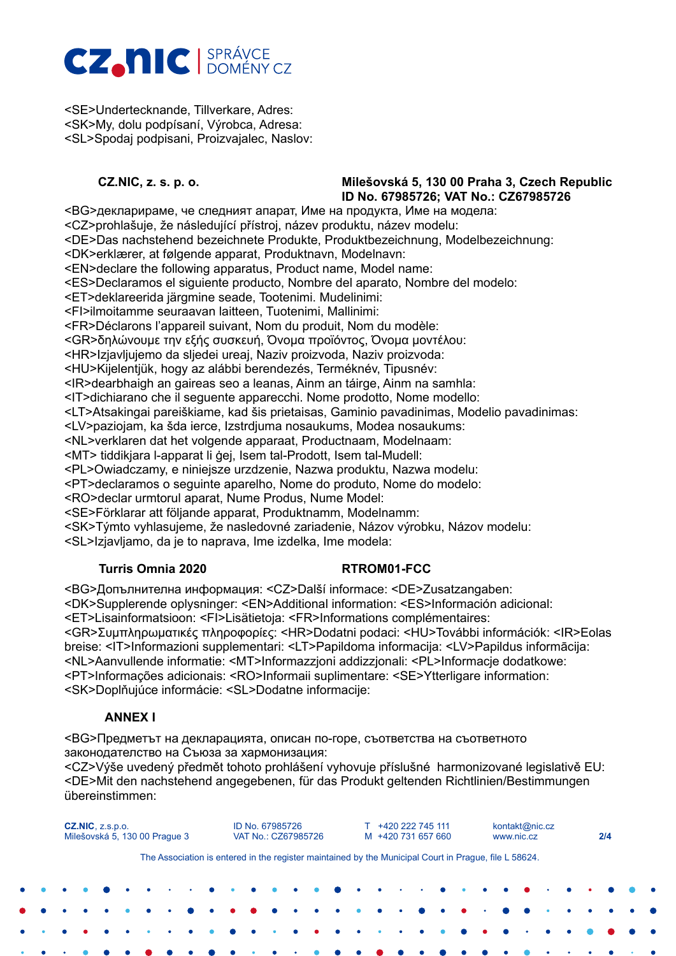# **CZ, NIC** BERÁVCE

<SE>Undertecknande, Tillverkare, Adres: <SK>My, dolu podpísaní, Výrobca, Adresa: <SL>Spodaj podpisani, Proizvajalec, Naslov:

### **CZ.NIC, z. s. p. o. Milešovská 5, 130 00 Praha 3, Czech Republic ID No. 67985726; VAT No.: CZ67985726**

<BG>декларираме, че следният апарат, Име на продукта, Име на модела: <CZ>prohlašuje, že následující přístroj, název produktu, název modelu: <DE>Das nachstehend bezeichnete Produkte, Produktbezeichnung, Modelbezeichnung: <DK>erklærer, at følgende apparat, Produktnavn, Modelnavn: <EN>declare the following apparatus, Product name, Model name: <ES>Declaramos el siguiente producto, Nombre del aparato, Nombre del modelo: <ET>deklareerida järgmine seade, Tootenimi. Mudelinimi: <FI>ilmoitamme seuraavan laitteen, Tuotenimi, Mallinimi: <FR>Déclarons l'appareil suivant, Nom du produit, Nom du modèle: <GR>δηλώνουμε την εξής συσκευή, Όνομα προϊόντος, Όνομα μοντέλου: <HR>Izjavljujemo da sljedei ureaj, Naziv proizvoda, Naziv proizvoda: <HU>Kijelentjük, hogy az alábbi berendezés, Terméknév, Tipusnév: <IR>dearbhaigh an gaireas seo a leanas, Ainm an táirge, Ainm na samhla: <IT>dichiarano che il seguente apparecchi. Nome prodotto, Nome modello: <LT>Atsakingai pareiškiame, kad šis prietaisas, Gaminio pavadinimas, Modelio pavadinimas: <LV>paziojam, ka šda ierce, Izstrdjuma nosaukums, Modea nosaukums: <NL>verklaren dat het volgende apparaat, Productnaam, Modelnaam: <MT> tiddikjara l-apparat li ġej, Isem tal-Prodott, Isem tal-Mudell: <PL>Owiadczamy, e niniejsze urzdzenie, Nazwa produktu, Nazwa modelu: <PT>declaramos o seguinte aparelho, Nome do produto, Nome do modelo: <RO>declar urmtorul aparat, Nume Produs, Nume Model: <SE>Förklarar att följande apparat, Produktnamm, Modelnamm: <SK>Týmto vyhlasujeme, že nasledovné zariadenie, Názov výrobku, Názov modelu: <SL>Izjavljamo, da je to naprava, Ime izdelka, Ime modela:

### **Turris Omnia 2020 RTROM01-FCC**

<BG>Допълнителна информация: <CZ>Další informace: <DE>Zusatzangaben: <DK>Supplerende oplysninger: <EN>Additional information: <ES>Información adicional: <ET>Lisainformatsioon: <FI>Lisätietoja: <FR>Informations complémentaires: <GR>Συμπληρωματικές πληροφορίες: <HR>Dodatni podaci: <HU>További információk: <IR>Eolas breise: <IT>Informazioni supplementari: <LT>Papildoma informacija: <LV>Papildus informācija: <NL>Aanvullende informatie: <MT>Informazzjoni addizzjonali: <PL>Informacje dodatkowe: <PT>Informações adicionais: <RO>Informaii suplimentare: <SE>Ytterligare information: <SK>Doplňujúce informácie: <SL>Dodatne informacije:

# **ANNEX I**

<BG>Предметът на декларацията, описан по-горе, съответства на съответното законодателство на Съюза за хармонизация:

<CZ>Výše uvedený předmět tohoto prohlášení vyhovuje příslušné harmonizované legislativě EU: <DE>Mit den nachstehend angegebenen, für das Produkt geltenden Richtlinien/Bestimmungen übereinstimmen:

| 2/4 |
|-----|
|     |
|     |
|     |
|     |
|     |
|     |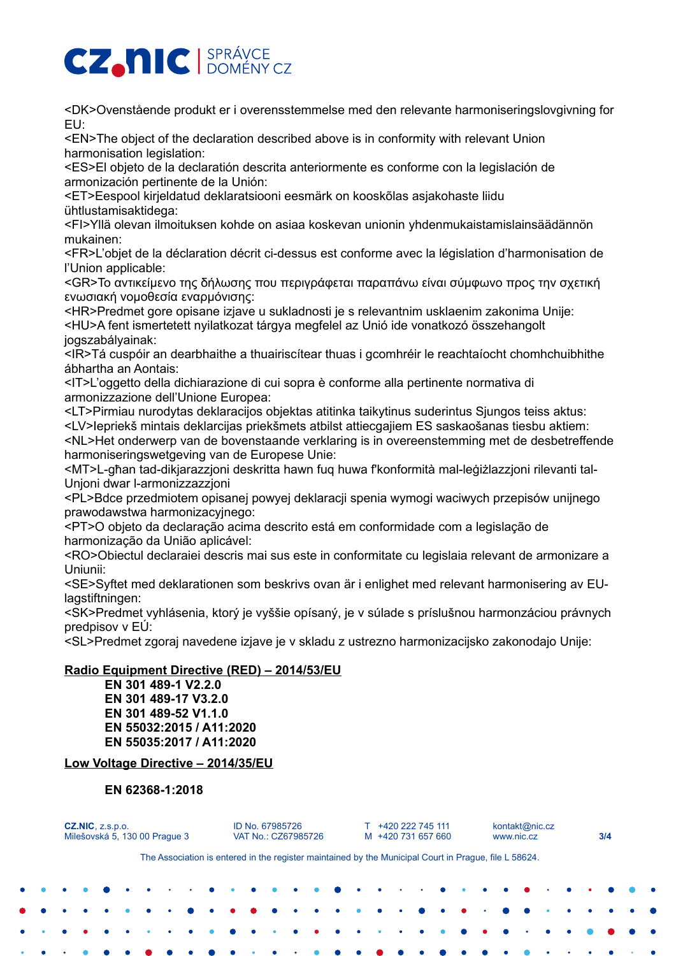# **CZ, NIC** BERÁVCE

<DK>Ovenstående produkt er i overensstemmelse med den relevante harmoniseringslovgivning for EU:

<EN>The object of the declaration described above is in conformity with relevant Union harmonisation legislation:

<ES>El objeto de la declaratión descrita anteriormente es conforme con la legislación de armonización pertinente de la Unión:

<ET>Eespool kirjeldatud deklaratsiooni eesmärk on kooskõlas asjakohaste liidu ühtlustamisaktidega:

<FI>Yllä olevan ilmoituksen kohde on asiaa koskevan unionin yhdenmukaistamislainsäädännön mukainen:

<FR>L'objet de la déclaration décrit ci-dessus est conforme avec la législation d'harmonisation de l'Union applicable:

<GR>Το αντικείμενο της δήλωσης που περιγράφεται παραπάνω είναι σύµφωνο προς την σχετική ενωσιακή νοµοθεσία εναρμόνισης:

<HR>Predmet gore opisane izjave u sukladnosti je s relevantnim usklaenim zakonima Unije: <HU>A fent ismertetett nyilatkozat tárgya megfelel az Unió ide vonatkozó összehangolt jogszabályainak:

<IR>Tá cuspóir an dearbhaithe a thuairiscítear thuas i gcomhréir le reachtaíocht chomhchuibhithe ábhartha an Aontais:

<IT>L'oggetto della dichiarazione di cui sopra è conforme alla pertinente normativa di armonizzazione dell'Unione Europea:

<LT>Pirmiau nurodytas deklaracijos objektas atitinka taikytinus suderintus Sjungos teiss aktus: <LV>Iepriekš mintais deklarcijas priekšmets atbilst attiecgajiem ES saskaošanas tiesbu aktiem: <NL>Het onderwerp van de bovenstaande verklaring is in overeenstemming met de desbetreffende

harmoniseringswetgeving van de Europese Unie: <MT>L-għan tad-dikjarazzjoni deskritta hawn fuq huwa f'konformità mal-leġiżlazzjoni rilevanti tal-Unjoni dwar l-armonizzazzjoni

<PL>Bdce przedmiotem opisanej powyej deklaracji spenia wymogi waciwych przepisów unijnego prawodawstwa harmonizacyjnego:

<PT>O objeto da declaração acima descrito está em conformidade com a legislação de harmonização da União aplicável:

<RO>Obiectul declaraiei descris mai sus este in conformitate cu legislaia relevant de armonizare a Uniunii:

<SE>Syftet med deklarationen som beskrivs ovan är i enlighet med relevant harmonisering av EUlagstiftningen:

<SK>Predmet vyhlásenia, ktorý je vyššie opísaný, je v súlade s príslušnou harmonzáciou právnych predpisov v EÚ:

<SL>Predmet zgoraj navedene izjave je v skladu z ustrezno harmonizacijsko zakonodajo Unije:

# **Radio Equipment Directive (RED) – 2014/53/EU**

**EN 301 489-1 V2.2.0 EN 301 489-17 V3.2.0 EN 301 489-52 V1.1.0 EN 55032:2015 / A11:2020 EN 55035:2017 / A11:2020**

# **Low Voltage Directive – 2014/35/EU**

# **EN 62368-1:2018**

| $CZ.NIC$ , $Z.S.D.O.$<br>Milešovská 5, 130 00 Prague 3 |  |  |  |  |                                                                                                       |  |  |  | ID No. 67985726 | VAT No.: CZ67985726 |  | T +420 222 745 111<br>M +420 731 657 660 |  |  |  |  |  | kontakt@nic.cz<br>www.nic.cz |  |                             |  |  |  | 3/4 |  |  |  |  |
|--------------------------------------------------------|--|--|--|--|-------------------------------------------------------------------------------------------------------|--|--|--|-----------------|---------------------|--|------------------------------------------|--|--|--|--|--|------------------------------|--|-----------------------------|--|--|--|-----|--|--|--|--|
|                                                        |  |  |  |  | The Association is entered in the register maintained by the Municipal Court in Prague, file L 58624. |  |  |  |                 |                     |  |                                          |  |  |  |  |  |                              |  |                             |  |  |  |     |  |  |  |  |
| $\bullet$                                              |  |  |  |  |                                                                                                       |  |  |  |                 |                     |  |                                          |  |  |  |  |  |                              |  |                             |  |  |  |     |  |  |  |  |
| $\bullet$                                              |  |  |  |  | $\bullet$                                                                                             |  |  |  |                 |                     |  |                                          |  |  |  |  |  |                              |  |                             |  |  |  |     |  |  |  |  |
|                                                        |  |  |  |  |                                                                                                       |  |  |  |                 |                     |  |                                          |  |  |  |  |  |                              |  | $\sim$ $\sim$ $\sim$ $\sim$ |  |  |  |     |  |  |  |  |